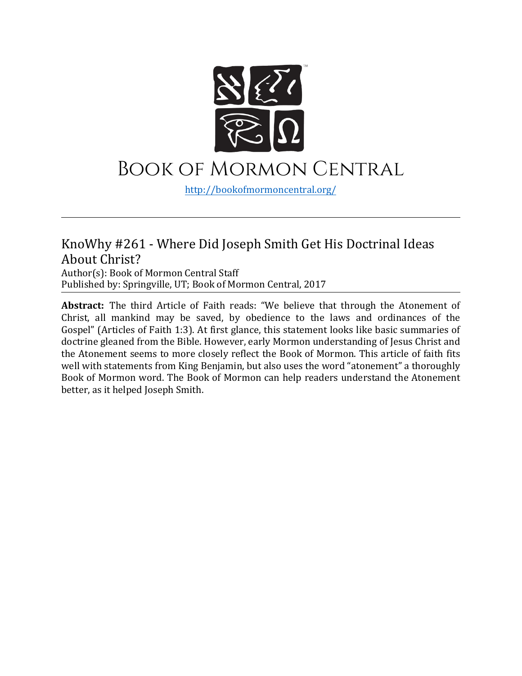

### Book of Mormon Central

[http://bookofmormoncentral.](http://bookofmormoncentral.com/)org/

#### KnoWhy #261 - Where Did Joseph Smith Get His Doctrinal Ideas About Christ?

Author(s): Book of Mormon Central Staff Published by: Springville, UT; Book of Mormon Central, 2017

**Abstract:** The third Article of Faith reads: "We believe that through the Atonement of Christ, all mankind may be saved, by obedience to the laws and ordinances of the Gospel" (Articles of Faith 1:3). At first glance, this statement looks like basic summaries of doctrine gleaned from the Bible. However, early Mormon understanding of Jesus Christ and the Atonement seems to more closely reflect the Book of Mormon. This article of faith fits well with statements from King Benjamin, but also uses the word "atonement" a thoroughly Book of Mormon word. The Book of Mormon can help readers understand the Atonement better, as it helped Joseph Smith.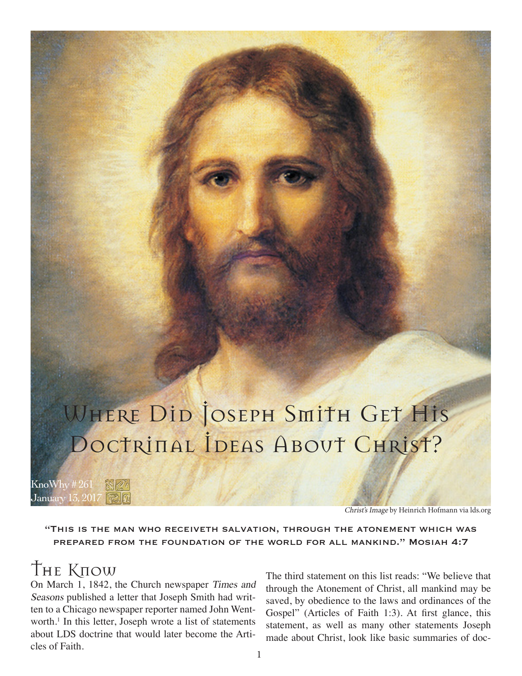# WHERE DID JOSEPH SMITH GET HIS DOCTRINAL IDEAS ABOUT CHRIST?

KnoWhy # 261 January 13, 2017

Christ's Image by Heinrich Hofmann via lds.org

"This is the man who receiveth salvation, through the atonement which was prepared from the foundation of the world for all mankind." Mosiah 4:7

# The Know

On March 1, 1842, the Church newspaper Times and Seasons published a letter that Joseph Smith had written to a Chicago newspaper reporter named John Wentworth.<sup>1</sup> In this letter, Joseph wrote a list of statements about LDS doctrine that would later become the Articles of Faith.

The third statement on this list reads: "We believe that through the Atonement of Christ, all mankind may be saved, by obedience to the laws and ordinances of the Gospel" (Articles of Faith 1:3). At first glance, this statement, as well as many other statements Joseph made about Christ, look like basic summaries of doc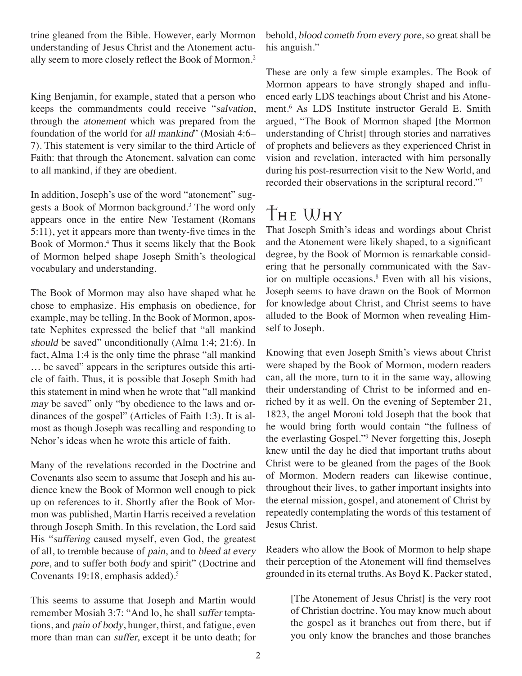trine gleaned from the Bible. However, early Mormon understanding of Jesus Christ and the Atonement actually seem to more closely reflect the Book of Mormon.<sup>2</sup>

King Benjamin, for example, stated that a person who keeps the commandments could receive "salvation, through the atonement which was prepared from the foundation of the world for all mankind" (Mosiah 4:6– 7). This statement is very similar to the third Article of Faith: that through the Atonement, salvation can come to all mankind, if they are obedient.

In addition, Joseph's use of the word "atonement" suggests a Book of Mormon background.<sup>3</sup> The word only appears once in the entire New Testament (Romans 5:11), yet it appears more than twenty-five times in the Book of Mormon.4 Thus it seems likely that the Book of Mormon helped shape Joseph Smith's theological vocabulary and understanding.

The Book of Mormon may also have shaped what he chose to emphasize. His emphasis on obedience, for example, may be telling. In the Book of Mormon, apostate Nephites expressed the belief that "all mankind should be saved" unconditionally (Alma 1:4; 21:6). In fact, Alma 1:4 is the only time the phrase "all mankind … be saved" appears in the scriptures outside this article of faith. Thus, it is possible that Joseph Smith had this statement in mind when he wrote that "all mankind may be saved" only "by obedience to the laws and ordinances of the gospel" (Articles of Faith 1:3). It is almost as though Joseph was recalling and responding to Nehor's ideas when he wrote this article of faith.

Many of the revelations recorded in the Doctrine and Covenants also seem to assume that Joseph and his audience knew the Book of Mormon well enough to pick up on references to it. Shortly after the Book of Mormon was published, Martin Harris received a revelation through Joseph Smith. In this revelation, the Lord said His "suffering caused myself, even God, the greatest of all, to tremble because of pain, and to bleed at every pore, and to suffer both body and spirit" (Doctrine and Covenants 19:18, emphasis added).5

This seems to assume that Joseph and Martin would remember Mosiah 3:7: "And lo, he shall suffer temptations, and pain of body, hunger, thirst, and fatigue, even more than man can suffer, except it be unto death; for

behold, blood cometh from every pore, so great shall be his anguish."

These are only a few simple examples. The Book of Mormon appears to have strongly shaped and influenced early LDS teachings about Christ and his Atonement.6 As LDS Institute instructor Gerald E. Smith argued, "The Book of Mormon shaped [the Mormon understanding of Christ] through stories and narratives of prophets and believers as they experienced Christ in vision and revelation, interacted with him personally during his post-resurrection visit to the New World, and recorded their observations in the scriptural record."7

## The Why

That Joseph Smith's ideas and wordings about Christ and the Atonement were likely shaped, to a significant degree, by the Book of Mormon is remarkable considering that he personally communicated with the Savior on multiple occasions.<sup>8</sup> Even with all his visions, Joseph seems to have drawn on the Book of Mormon for knowledge about Christ, and Christ seems to have alluded to the Book of Mormon when revealing Himself to Joseph.

Knowing that even Joseph Smith's views about Christ were shaped by the Book of Mormon, modern readers can, all the more, turn to it in the same way, allowing their understanding of Christ to be informed and enriched by it as well. On the evening of September 21, 1823, the angel Moroni told Joseph that the book that he would bring forth would contain "the fullness of the everlasting Gospel."9 Never forgetting this, Joseph knew until the day he died that important truths about Christ were to be gleaned from the pages of the Book of Mormon. Modern readers can likewise continue, throughout their lives, to gather important insights into the eternal mission, gospel, and atonement of Christ by repeatedly contemplating the words of this testament of Jesus Christ.

Readers who allow the Book of Mormon to help shape their perception of the Atonement will find themselves grounded in its eternal truths. As Boyd K. Packer stated,

> [The Atonement of Jesus Christ] is the very root of Christian doctrine. You may know much about the gospel as it branches out from there, but if you only know the branches and those branches